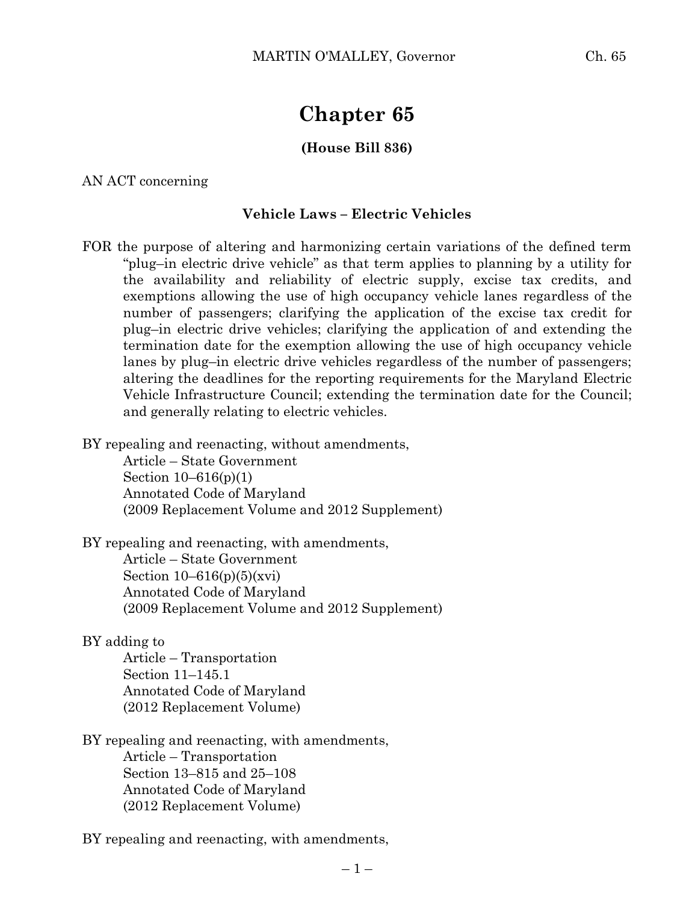# **Chapter 65**

## **(House Bill 836)**

AN ACT concerning

### **Vehicle Laws – Electric Vehicles**

FOR the purpose of altering and harmonizing certain variations of the defined term "plug–in electric drive vehicle" as that term applies to planning by a utility for the availability and reliability of electric supply, excise tax credits, and exemptions allowing the use of high occupancy vehicle lanes regardless of the number of passengers; clarifying the application of the excise tax credit for plug–in electric drive vehicles; clarifying the application of and extending the termination date for the exemption allowing the use of high occupancy vehicle lanes by plug–in electric drive vehicles regardless of the number of passengers; altering the deadlines for the reporting requirements for the Maryland Electric Vehicle Infrastructure Council; extending the termination date for the Council; and generally relating to electric vehicles.

BY repealing and reenacting, without amendments,

Article – State Government Section 10–616(p)(1) Annotated Code of Maryland (2009 Replacement Volume and 2012 Supplement)

BY repealing and reenacting, with amendments, Article – State Government Section  $10-616(p)(5)(xvi)$ Annotated Code of Maryland

(2009 Replacement Volume and 2012 Supplement)

### BY adding to

Article – Transportation Section 11–145.1 Annotated Code of Maryland (2012 Replacement Volume)

BY repealing and reenacting, with amendments, Article – Transportation Section 13–815 and 25–108 Annotated Code of Maryland (2012 Replacement Volume)

BY repealing and reenacting, with amendments,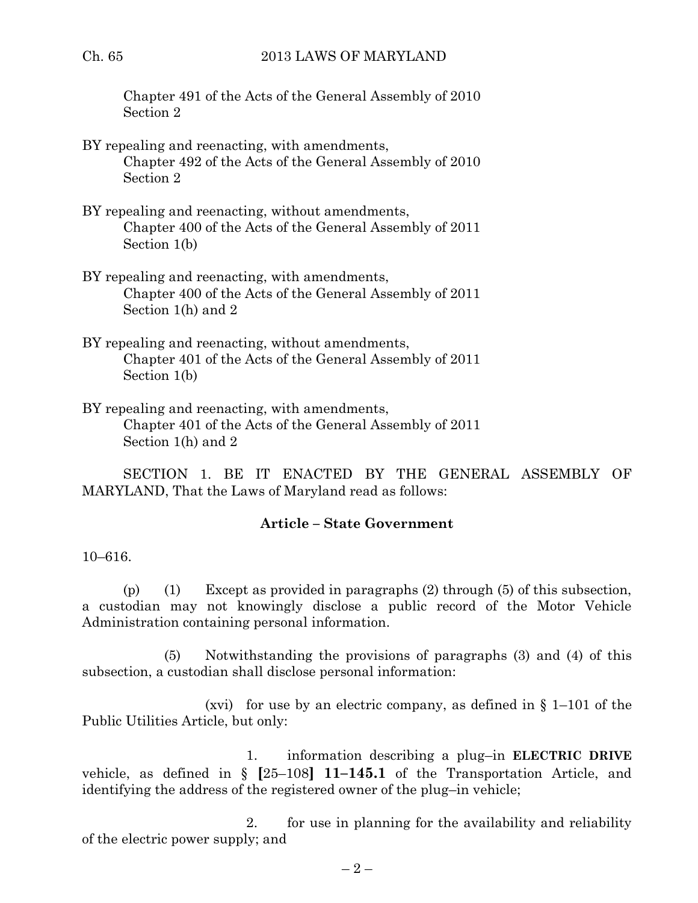Chapter 491 of the Acts of the General Assembly of 2010 Section 2

- BY repealing and reenacting, with amendments, Chapter 492 of the Acts of the General Assembly of 2010 Section 2
- BY repealing and reenacting, without amendments, Chapter 400 of the Acts of the General Assembly of 2011 Section 1(b)
- BY repealing and reenacting, with amendments, Chapter 400 of the Acts of the General Assembly of 2011 Section 1(h) and 2
- BY repealing and reenacting, without amendments, Chapter 401 of the Acts of the General Assembly of 2011 Section 1(b)
- BY repealing and reenacting, with amendments, Chapter 401 of the Acts of the General Assembly of 2011 Section 1(h) and 2

SECTION 1. BE IT ENACTED BY THE GENERAL ASSEMBLY OF MARYLAND, That the Laws of Maryland read as follows:

# **Article – State Government**

## 10–616.

(p) (1) Except as provided in paragraphs (2) through (5) of this subsection, a custodian may not knowingly disclose a public record of the Motor Vehicle Administration containing personal information.

(5) Notwithstanding the provisions of paragraphs (3) and (4) of this subsection, a custodian shall disclose personal information:

(xvi) for use by an electric company, as defined in  $\S$  1–101 of the Public Utilities Article, but only:

1. information describing a plug–in **ELECTRIC DRIVE** vehicle, as defined in § **[**25–108**] 11–145.1** of the Transportation Article, and identifying the address of the registered owner of the plug–in vehicle;

2. for use in planning for the availability and reliability of the electric power supply; and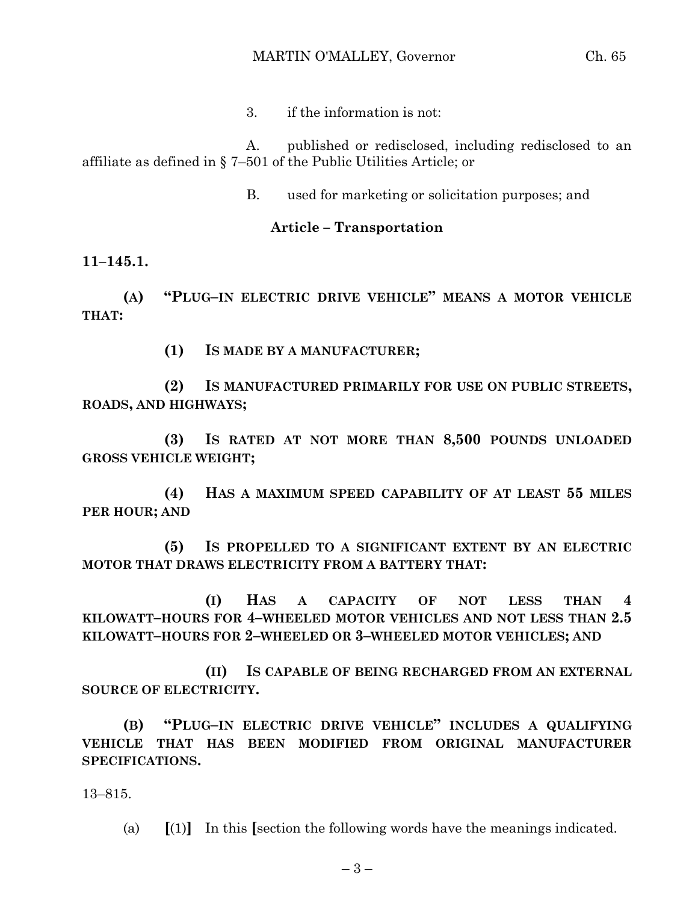3. if the information is not:

A. published or redisclosed, including redisclosed to an affiliate as defined in § 7–501 of the Public Utilities Article; or

B. used for marketing or solicitation purposes; and

# **Article – Transportation**

**11–145.1.**

**(A) "PLUG–IN ELECTRIC DRIVE VEHICLE" MEANS A MOTOR VEHICLE THAT:**

**(1) IS MADE BY A MANUFACTURER;**

**(2) IS MANUFACTURED PRIMARILY FOR USE ON PUBLIC STREETS, ROADS, AND HIGHWAYS;**

**(3) IS RATED AT NOT MORE THAN 8,500 POUNDS UNLOADED GROSS VEHICLE WEIGHT;**

**(4) HAS A MAXIMUM SPEED CAPABILITY OF AT LEAST 55 MILES PER HOUR; AND**

**(5) IS PROPELLED TO A SIGNIFICANT EXTENT BY AN ELECTRIC MOTOR THAT DRAWS ELECTRICITY FROM A BATTERY THAT:**

**(I) HAS A CAPACITY OF NOT LESS THAN 4 KILOWATT–HOURS FOR 4–WHEELED MOTOR VEHICLES AND NOT LESS THAN 2.5 KILOWATT–HOURS FOR 2–WHEELED OR 3–WHEELED MOTOR VEHICLES; AND**

**(II) IS CAPABLE OF BEING RECHARGED FROM AN EXTERNAL SOURCE OF ELECTRICITY.**

**(B) "PLUG–IN ELECTRIC DRIVE VEHICLE" INCLUDES A QUALIFYING VEHICLE THAT HAS BEEN MODIFIED FROM ORIGINAL MANUFACTURER SPECIFICATIONS.**

13–815.

(a) **[**(1)**]** In this **[**section the following words have the meanings indicated.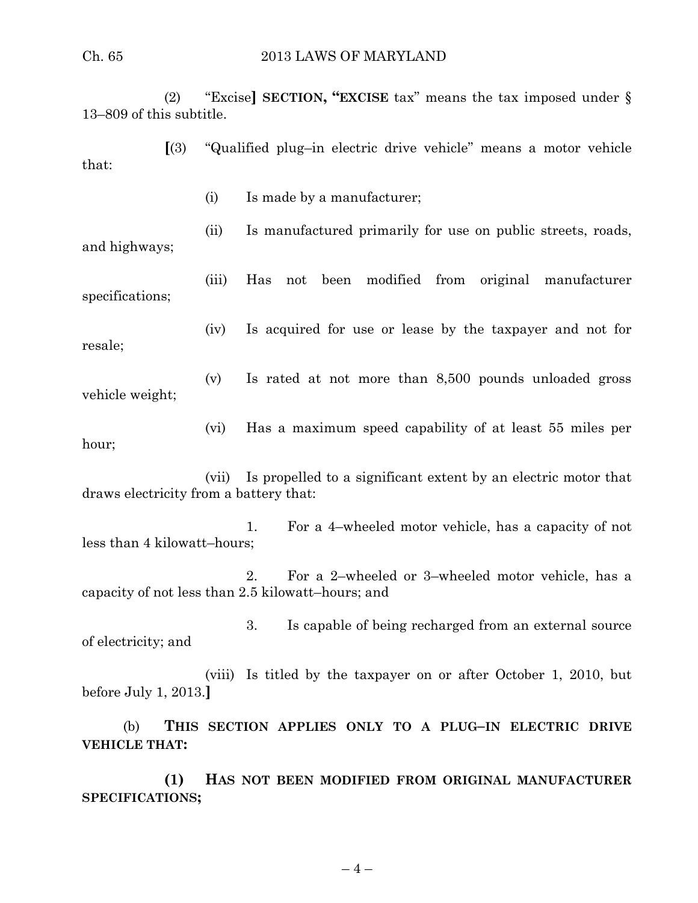(2) "Excise**] SECTION, "EXCISE** tax" means the tax imposed under § 13–809 of this subtitle.

**[**(3) "Qualified plug–in electric drive vehicle" means a motor vehicle that:

(i) Is made by a manufacturer;

(ii) Is manufactured primarily for use on public streets, roads,

and highways;

(iii) Has not been modified from original manufacturer specifications;

resale;

(iv) Is acquired for use or lease by the taxpayer and not for

(v) Is rated at not more than 8,500 pounds unloaded gross vehicle weight;

(vi) Has a maximum speed capability of at least 55 miles per hour;

(vii) Is propelled to a significant extent by an electric motor that draws electricity from a battery that:

1. For a 4–wheeled motor vehicle, has a capacity of not less than 4 kilowatt–hours;

2. For a 2–wheeled or 3–wheeled motor vehicle, has a capacity of not less than 2.5 kilowatt–hours; and

3. Is capable of being recharged from an external source of electricity; and

(viii) Is titled by the taxpayer on or after October 1, 2010, but before July 1, 2013.**]**

(b) **THIS SECTION APPLIES ONLY TO A PLUG–IN ELECTRIC DRIVE VEHICLE THAT:**

**(1) HAS NOT BEEN MODIFIED FROM ORIGINAL MANUFACTURER SPECIFICATIONS;**

 $-4-$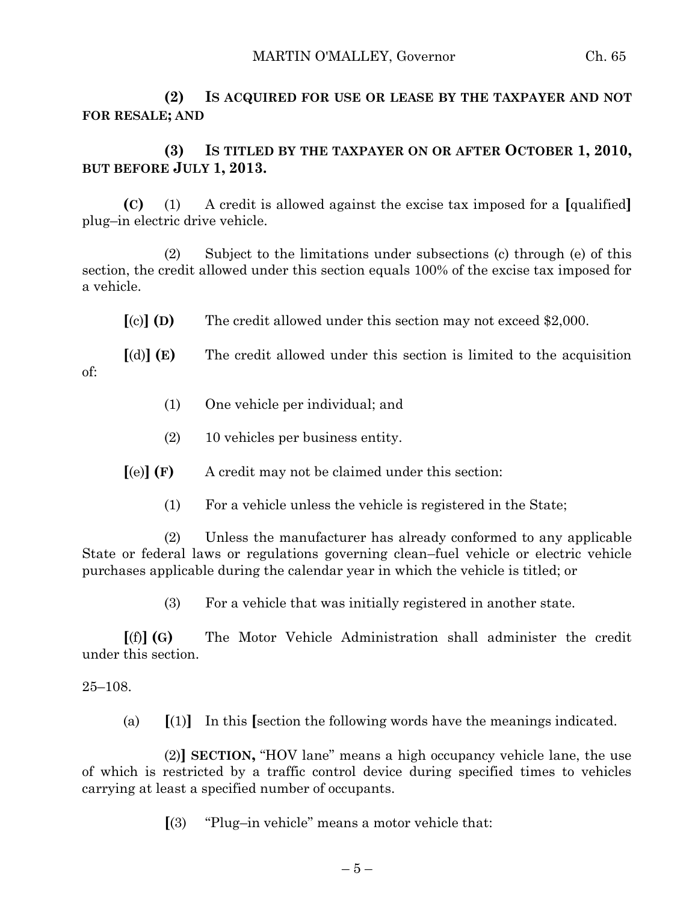**(2) IS ACQUIRED FOR USE OR LEASE BY THE TAXPAYER AND NOT FOR RESALE; AND**

# **(3) IS TITLED BY THE TAXPAYER ON OR AFTER OCTOBER 1, 2010, BUT BEFORE JULY 1, 2013.**

**(C)** (1) A credit is allowed against the excise tax imposed for a **[**qualified**]** plug–in electric drive vehicle.

(2) Subject to the limitations under subsections (c) through (e) of this section, the credit allowed under this section equals 100% of the excise tax imposed for a vehicle.

**[**(c)**] (D)** The credit allowed under this section may not exceed \$2,000.

**[**(d)**] (E)** The credit allowed under this section is limited to the acquisition of:

- (1) One vehicle per individual; and
- (2) 10 vehicles per business entity.

**[**(e)**] (F)** A credit may not be claimed under this section:

(1) For a vehicle unless the vehicle is registered in the State;

(2) Unless the manufacturer has already conformed to any applicable State or federal laws or regulations governing clean–fuel vehicle or electric vehicle purchases applicable during the calendar year in which the vehicle is titled; or

(3) For a vehicle that was initially registered in another state.

**[**(f)**] (G)** The Motor Vehicle Administration shall administer the credit under this section.

## 25–108.

(a) **[**(1)**]** In this **[**section the following words have the meanings indicated.

(2)**] SECTION,** "HOV lane" means a high occupancy vehicle lane, the use of which is restricted by a traffic control device during specified times to vehicles carrying at least a specified number of occupants.

**[**(3) "Plug–in vehicle" means a motor vehicle that: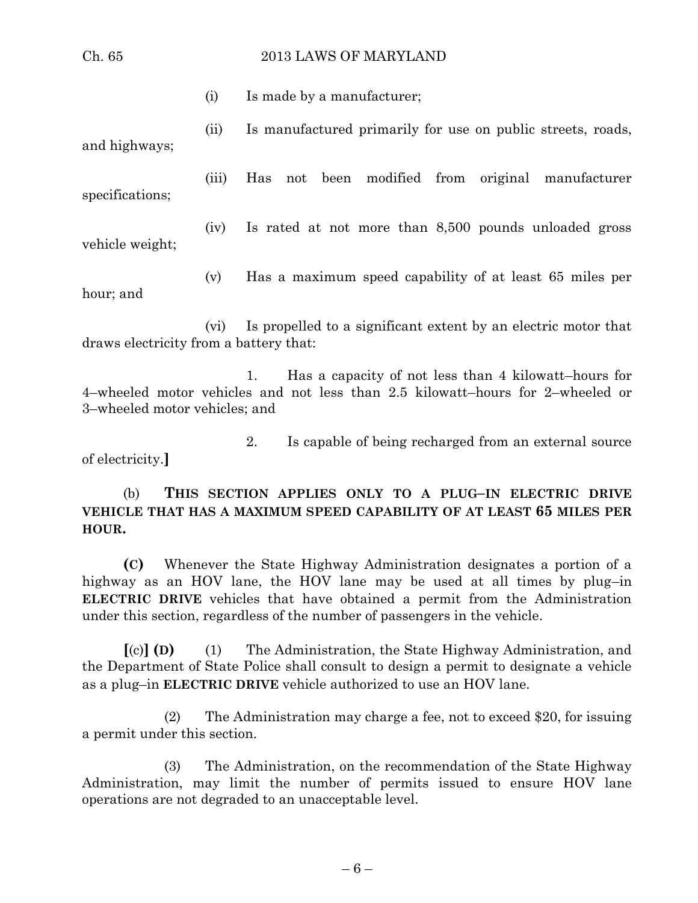#### Ch. 65 2013 LAWS OF MARYLAND

(i) Is made by a manufacturer;

(ii) Is manufactured primarily for use on public streets, roads, and highways;

(iii) Has not been modified from original manufacturer

(iv) Is rated at not more than 8,500 pounds unloaded gross vehicle weight;

(v) Has a maximum speed capability of at least 65 miles per hour; and

(vi) Is propelled to a significant extent by an electric motor that draws electricity from a battery that:

1. Has a capacity of not less than 4 kilowatt–hours for 4–wheeled motor vehicles and not less than 2.5 kilowatt–hours for 2–wheeled or 3–wheeled motor vehicles; and

2. Is capable of being recharged from an external source of electricity.**]**

(b) **THIS SECTION APPLIES ONLY TO A PLUG–IN ELECTRIC DRIVE VEHICLE THAT HAS A MAXIMUM SPEED CAPABILITY OF AT LEAST 65 MILES PER HOUR.**

**(C)** Whenever the State Highway Administration designates a portion of a highway as an HOV lane, the HOV lane may be used at all times by plug–in **ELECTRIC DRIVE** vehicles that have obtained a permit from the Administration under this section, regardless of the number of passengers in the vehicle.

**[**(c)**] (D)** (1) The Administration, the State Highway Administration, and the Department of State Police shall consult to design a permit to designate a vehicle as a plug–in **ELECTRIC DRIVE** vehicle authorized to use an HOV lane.

(2) The Administration may charge a fee, not to exceed \$20, for issuing a permit under this section.

(3) The Administration, on the recommendation of the State Highway Administration, may limit the number of permits issued to ensure HOV lane operations are not degraded to an unacceptable level.

– 6 –

specifications;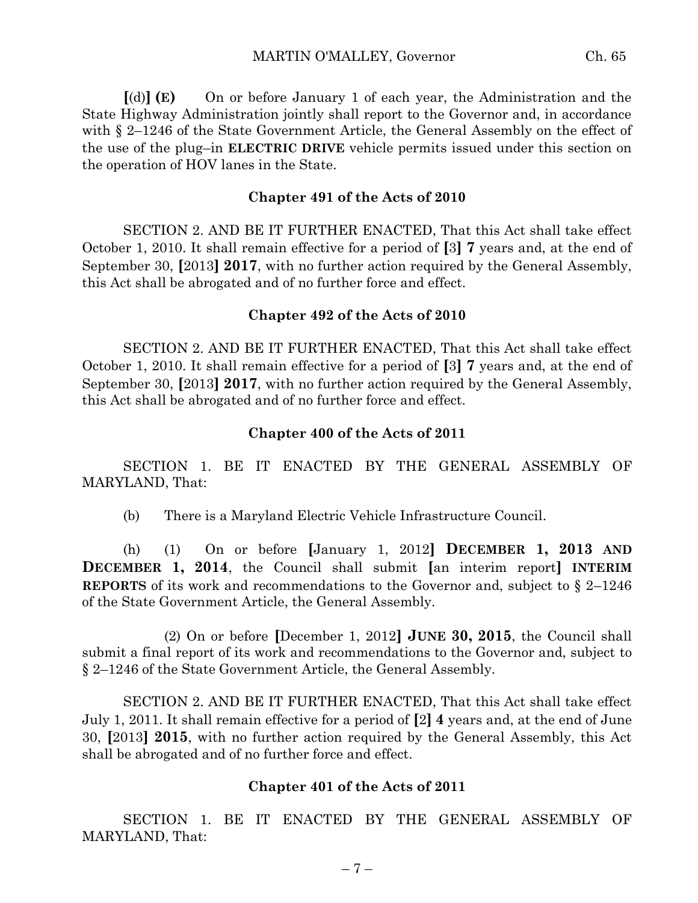**[**(d)**] (E)** On or before January 1 of each year, the Administration and the State Highway Administration jointly shall report to the Governor and, in accordance with § 2–1246 of the State Government Article, the General Assembly on the effect of the use of the plug–in **ELECTRIC DRIVE** vehicle permits issued under this section on the operation of HOV lanes in the State.

### **Chapter 491 of the Acts of 2010**

SECTION 2. AND BE IT FURTHER ENACTED, That this Act shall take effect October 1, 2010. It shall remain effective for a period of **[**3**] 7** years and, at the end of September 30, **[**2013**] 2017**, with no further action required by the General Assembly, this Act shall be abrogated and of no further force and effect.

### **Chapter 492 of the Acts of 2010**

SECTION 2. AND BE IT FURTHER ENACTED, That this Act shall take effect October 1, 2010. It shall remain effective for a period of **[**3**] 7** years and, at the end of September 30, **[**2013**] 2017**, with no further action required by the General Assembly, this Act shall be abrogated and of no further force and effect.

### **Chapter 400 of the Acts of 2011**

SECTION 1. BE IT ENACTED BY THE GENERAL ASSEMBLY OF MARYLAND, That:

(b) There is a Maryland Electric Vehicle Infrastructure Council.

(h) (1) On or before **[**January 1, 2012**] DECEMBER 1, 2013 AND DECEMBER 1, 2014**, the Council shall submit **[**an interim report**] INTERIM REPORTS** of its work and recommendations to the Governor and, subject to § 2–1246 of the State Government Article, the General Assembly.

(2) On or before **[**December 1, 2012**] JUNE 30, 2015**, the Council shall submit a final report of its work and recommendations to the Governor and, subject to § 2–1246 of the State Government Article, the General Assembly.

SECTION 2. AND BE IT FURTHER ENACTED, That this Act shall take effect July 1, 2011. It shall remain effective for a period of **[**2**] 4** years and, at the end of June 30, **[**2013**] 2015**, with no further action required by the General Assembly, this Act shall be abrogated and of no further force and effect.

### **Chapter 401 of the Acts of 2011**

SECTION 1. BE IT ENACTED BY THE GENERAL ASSEMBLY OF MARYLAND, That: